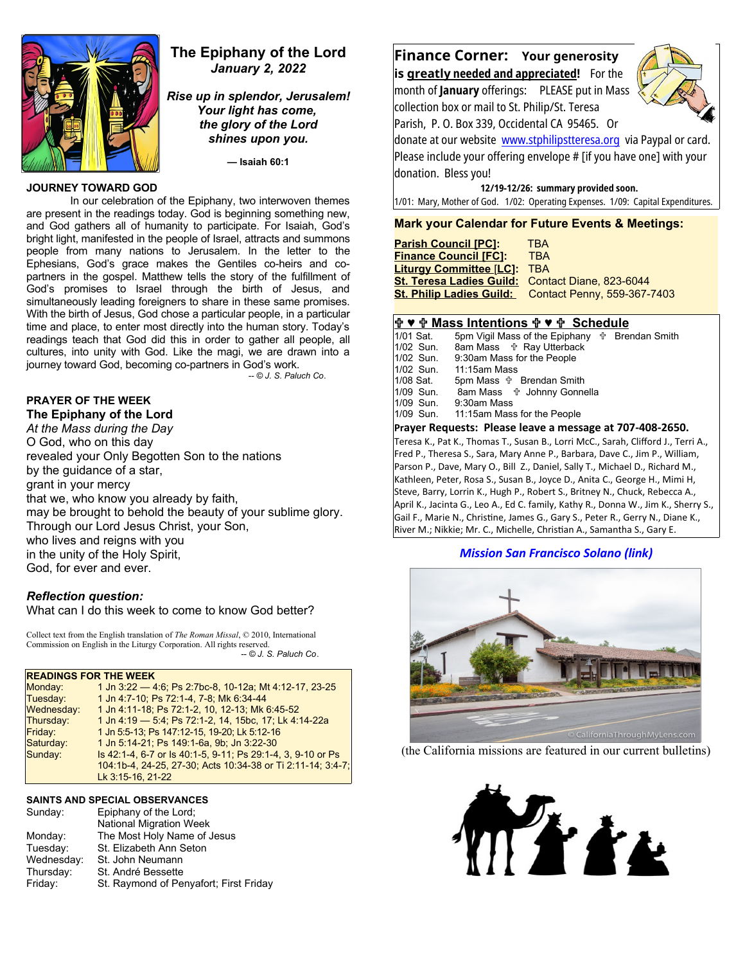

# **The Epiphany of the Lord** *January 2, 2022*

*Rise up in splendor, Jerusalem! Your light has come, the glory of the Lord shines upon you.*

**— Isaiah 60:1**

## **JOURNEY TOWARD GOD**

In our celebration of the Epiphany, two interwoven themes are present in the readings today. God is beginning something new, and God gathers all of humanity to participate. For Isaiah, God's bright light, manifested in the people of Israel, attracts and summons people from many nations to Jerusalem. In the letter to the Ephesians, God's grace makes the Gentiles co-heirs and copartners in the gospel. Matthew tells the story of the fulfillment of God's promises to Israel through the birth of Jesus, and simultaneously leading foreigners to share in these same promises. With the birth of Jesus, God chose a particular people, in a particular time and place, to enter most directly into the human story. Today's readings teach that God did this in order to gather all people, all cultures, into unity with God. Like the magi, we are drawn into a journey toward God, becoming co-partners in God's work.

*-- © J. S. Paluch Co*.

# **PRAYER OF THE WEEK**

**The Epiphany of the Lord** *At the Mass during the Day* O God, who on this day revealed your Only Begotten Son to the nations by the guidance of a star, grant in your mercy that we, who know you already by faith, may be brought to behold the beauty of your sublime glory. Through our Lord Jesus Christ, your Son, who lives and reigns with you in the unity of the Holy Spirit, God, for ever and ever.

# *Reflection question:*

What can I do this week to come to know God better?

Collect text from the English translation of *The Roman Missal*, © 2010, International Commission on English in the Liturgy Corporation. All rights reserved.  *-- © J. S. Paluch Co*.

### **READINGS FOR THE WEEK**

| 1 Jn 3:22 - 4:6; Ps 2:7bc-8, 10-12a; Mt 4:12-17, 23-25      |
|-------------------------------------------------------------|
| 1 Jn 4 7-10; Ps 72:1-4, 7-8; Mk 6:34-44                     |
| 1 Jn 4:11-18; Ps 72:1-2, 10, 12-13; Mk 6:45-52              |
| 1 Jn 4:19 - 5:4; Ps 72:1-2, 14, 15bc, 17; Lk 4:14-22a       |
| 1 Jn 5:5-13; Ps 147:12-15, 19-20; Lk 5:12-16                |
| 1 Jn 5:14-21; Ps 149:1-6a, 9b; Jn 3:22-30                   |
| Is 42:1-4, 6-7 or Is 40:1-5, 9-11; Ps 29:1-4, 3, 9-10 or Ps |
| 104:1b-4, 24-25, 27-30; Acts 10:34-38 or Ti 2:11-14; 3:4-7; |
| Lk 3:15-16, 21-22                                           |
|                                                             |

### **SAINTS AND SPECIAL OBSERVANCES**

| Sunday:    | Epiphany of the Lord;                  |
|------------|----------------------------------------|
|            | <b>National Migration Week</b>         |
| Monday:    | The Most Holy Name of Jesus            |
| Tuesday:   | St. Elizabeth Ann Seton                |
| Wednesday: | St. John Neumann                       |
| Thursday:  | St. André Bessette                     |
| Friday:    | St. Raymond of Penyafort; First Friday |

# **Finance Corner: Your generosity is greatly needed and appreciated!** For the

month of **January** offerings: PLEASE put in Mass collection box or mail to St. Philip/St. Teresa Parish, P. O. Box 339, Occidental CA 95465. Or



donate at our website [www.stphilipstteresa.org](http://www.stphilipstteresa.org/) via Paypal or card. Please include your offering envelope # [if you have one] with your donation.Bless you!

 **12/19-12/26: summary provided soon.**

1/01: Mary, Mother of God. 1/02: Operating Expenses. 1/09: Capital Expenditures.

## **Mark your Calendar for Future Events & Meetings:**

| <b>Parish Council [PC]:</b>                      | <b>TBA</b>                                           |
|--------------------------------------------------|------------------------------------------------------|
| <b>Finance Council [FC]:</b>                     | <b>TRA</b>                                           |
| Liturqy Committee [LC]:                          | <b>TBA</b>                                           |
| St. Teresa Ladies Guild: Contact Diane, 823-6044 |                                                      |
|                                                  | St. Philip Ladies Guild: Contact Penny, 559-367-7403 |

**<u>** $\frac{1}{10}$  **♥**  $\frac{1}{101}$  **Mass Intentions**  $\frac{1}{101}$  **♥**  $\frac{1}{101}$  **Sat.** 5pm Vigil Mass of the Epiphany  $\frac{1}{101}$  Brei</u> 1/01 Sat. 5pm Vigil Mass of the Epiphany  $\frac{4}{102}$  Brendan Smith 1/02 Sun. 8am Mass  $\frac{4}{10}$  Ray Utterback 1/02 Sun. 8am Mass Ray Utterback 1/02 Sun. 9:30am Mass for the People<br>1/02 Sun. 11:15am Mass 1/02 Sun. 11:15am Mass 5pm Mass  $\frac{1}{10}$  Brendan Smith 1/09 Sun. 8am Mass  $\frac{4}{3}$  Johnny Gonnella<br>1/09 Sun 9:30am Mass  $1/09$  Sun. 1/09 Sun. 11:15am Mass for the People **Prayer Requests: Please leave a message at 707-408-2650.**  Teresa K., Pat K., Thomas T., Susan B., Lorri McC., Sarah, Clifford J., Terri A., Fred P., Theresa S., Sara, Mary Anne P., Barbara, Dave C., Jim P., William, Parson P., Dave, Mary O., Bill Z., Daniel, Sally T., Michael D., Richard M., Kathleen, Peter, Rosa S., Susan B., Joyce D., Anita C., George H., Mimi H, Steve, Barry, Lorrin K., Hugh P., Robert S., Britney N., Chuck, Rebecca A., April K., Jacinta G., Leo A., Ed C. family, Kathy R., Donna W., Jim K., Sherry S., Gail F., Marie N., Christine, James G., Gary S., Peter R., Gerry N., Diane K.,

# *[Mission San Francisco Solano \(link\)](https://californiathroughmylens.com/mission-san-francisco-solano)*

River M.; Nikkie; Mr. C., Michelle, Christian A., Samantha S., Gary E.



(the California missions are featured in our current bulletins)

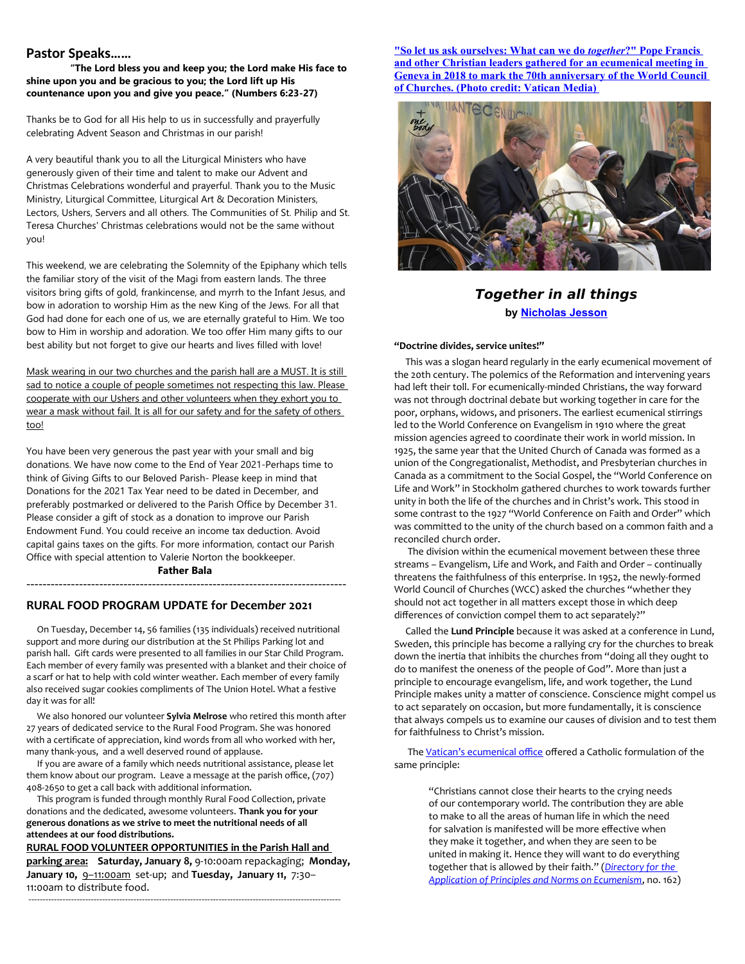## **Pastor Speaks……**

**"The Lord bless you and keep you; the Lord make His face to shine upon you and be gracious to you; the Lord lift up His countenance upon you and give you peace." (Numbers 6:23-27)**

Thanks be to God for all His help to us in successfully and prayerfully celebrating Advent Season and Christmas in our parish!

A very beautiful thank you to all the Liturgical Ministers who have generously given of their time and talent to make our Advent and Christmas Celebrations wonderful and prayerful. Thank you to the Music Ministry, Liturgical Committee, Liturgical Art & Decoration Ministers, Lectors, Ushers, Servers and all others. The Communities of St. Philip and St. Teresa Churches' Christmas celebrations would not be the same without you!

This weekend, we are celebrating the Solemnity of the Epiphany which tells the familiar story of the visit of the Magi from eastern lands. The three visitors bring gifts of gold, frankincense, and myrrh to the Infant Jesus, and bow in adoration to worship Him as the new King of the Jews. For all that God had done for each one of us, we are eternally grateful to Him. We too bow to Him in worship and adoration. We too offer Him many gifts to our best ability but not forget to give our hearts and lives filled with love!

Mask wearing in our two churches and the parish hall are a MUST. It is still sad to notice a couple of people sometimes not respecting this law. Please cooperate with our Ushers and other volunteers when they exhort you to wear a mask without fail. It is all for our safety and for the safety of others too!

You have been very generous the past year with your small and big donations. We have now come to the End of Year 2021-Perhaps time to think of Giving Gifts to our Beloved Parish- Please keep in mind that Donations for the 2021 Tax Year need to be dated in December, and preferably postmarked or delivered to the Parish Office by December 31. Please consider a gift of stock as a donation to improve our Parish Endowment Fund. You could receive an income tax deduction. Avoid capital gains taxes on the gifts. For more information, contact our Parish Office with special attention to Valerie Norton the bookkeeper.

## **Father Bala** -------------------------------------------------------------------------------

### **RURAL FOOD PROGRAM UPDATE for Decem***ber* **2021**

 On Tuesday, December 14, 56 families (135 individuals) received nutritional support and more during our distribution at the St Philips Parking lot and parish hall. Gift cards were presented to all families in our Star Child Program. Each member of every family was presented with a blanket and their choice of a scarf or hat to help with cold winter weather. Each member of every family also received sugar cookies compliments of The Union Hotel. What a festive day it was for all!

 We also honored our volunteer **Sylvia Melrose** who retired this month after 27 years of dedicated service to the Rural Food Program. She was honored with a certificate of appreciation, kind words from all who worked with her, many thank-yous, and a well deserved round of applause.

 If you are aware of a family which needs nutritional assistance, please let them know about our program. Leave a message at the parish office, (707) 408-2650 to get a call back with additional information.

 This program is funded through monthly Rural Food Collection, private donations and the dedicated, awesome volunteers. **Thank you for your generous donations as we strive to meet the nutritional needs of all attendees at our food distributions.** 

**RURAL FOOD VOLUNTEER OPPORTUNITIES in the Parish Hall and parking area: Saturday, January 8,** 9-10:00am repackaging; **Monday, January 10,** 9–11:00am set-up; and **Tuesday, January 11,** 7:30– 11:00am to distribute food.

--------------------------------------------------------------------------------------------------------------

 **["So let us ask ourselves: What can we do](https://slmedia.org/blog/one-body-together-in-all-things)** *together* **?" Pope Francis and other Christian leaders gathered for an ecumenical meeting in [Geneva in 2018 to mark the 70th anniversary of the World Council](https://slmedia.org/blog/one-body-together-in-all-things)  [of Churches. \(Photo credit: Vatican Media\)](https://slmedia.org/blog/one-body-together-in-all-things)** 



# **Together in all things by [Nicholas Jesson](https://slmedia.org/blog/one-body-together-in-all-things)**

### **"Doctrine divides, service unites!"**

 This was a slogan heard regularly in the early ecumenical movement of the 20th century. The polemics of the Reformation and intervening years had left their toll. For ecumenically-minded Christians, the way forward was not through doctrinal debate but working together in care for the poor, orphans, widows, and prisoners. The earliest ecumenical stirrings led to the World Conference on Evangelism in 1910 where the great mission agencies agreed to coordinate their work in world mission. In 1925, the same year that the United Church of Canada was formed as a union of the Congregationalist, Methodist, and Presbyterian churches in Canada as a commitment to the Social Gospel, the "World Conference on Life and Work" in Stockholm gathered churches to work towards further unity in both the life of the churches and in Christ's work. This stood in some contrast to the 1927 "World Conference on Faith and Order" which was committed to the unity of the church based on a common faith and a reconciled church order.

 The division within the ecumenical movement between these three streams – Evangelism, Life and Work, and Faith and Order – continually threatens the faithfulness of this enterprise. In 1952, the newly-formed World Council of Churches (WCC) asked the churches "whether they should not act together in all matters except those in which deep differences of conviction compel them to act separately?"

 Called the **Lund Principle** because it was asked at a conference in Lund, Sweden, this principle has become a rallying cry for the churches to break down the inertia that inhibits the churches from "doing all they ought to do to manifest the oneness of the people of God". More than just a principle to encourage evangelism, life, and work together, the Lund Principle makes unity a matter of conscience. Conscience might compel us to act separately on occasion, but more fundamentally, it is conscience that always compels us to examine our causes of division and to test them for faithfulness to Christ's mission.

 The [Vatican's ecumenical office](http://www.christianunity.va/content/unitacristiani/en.html) offered a Catholic formulation of the same principle:

> "Christians cannot close their hearts to the crying needs of our contemporary world. The contribution they are able to make to all the areas of human life in which the need for salvation is manifested will be more effective when they make it together, and when they are seen to be united in making it. Hence they will want to do everything together that is allowed by their faith." (*[Directory for the](http://www.christianunity.va/content/unitacristiani/en/documenti/testo-in-inglese.html)  [Application of Principles and Norms on Ecumenism](http://www.christianunity.va/content/unitacristiani/en/documenti/testo-in-inglese.html)*, no. 162)